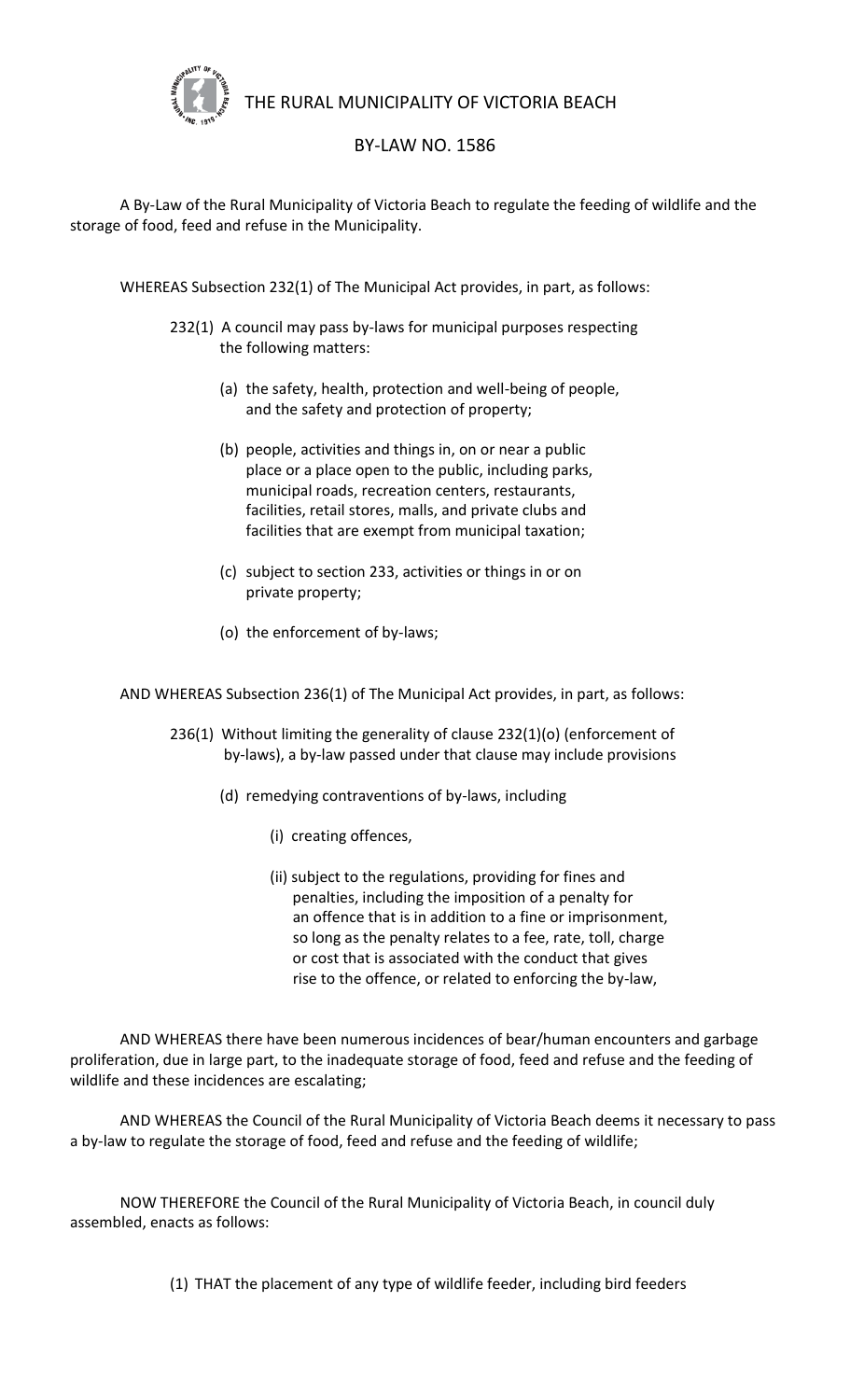

THE RURAL MUNICIPALITY OF VICTORIA BEACH

## BY-LAW NO. 1586

A By-Law of the Rural Municipality of Victoria Beach to regulate the feeding of wildlife and the storage of food, feed and refuse in the Municipality.

WHEREAS Subsection 232(1) of The Municipal Act provides, in part, as follows:

- 232(1) A council may pass by-laws for municipal purposes respecting the following matters:
	- (a) the safety, health, protection and well-being of people, and the safety and protection of property;
	- (b) people, activities and things in, on or near a public place or a place open to the public, including parks, municipal roads, recreation centers, restaurants, facilities, retail stores, malls, and private clubs and facilities that are exempt from municipal taxation;
	- (c) subject to section 233, activities or things in or on private property;
	- (o) the enforcement of by-laws;

AND WHEREAS Subsection 236(1) of The Municipal Act provides, in part, as follows:

- 236(1) Without limiting the generality of clause 232(1)(o) (enforcement of by-laws), a by-law passed under that clause may include provisions
	- (d) remedying contraventions of by-laws, including
		- (i) creating offences,
		- (ii) subject to the regulations, providing for fines and penalties, including the imposition of a penalty for an offence that is in addition to a fine or imprisonment, so long as the penalty relates to a fee, rate, toll, charge or cost that is associated with the conduct that gives rise to the offence, or related to enforcing the by-law,

AND WHEREAS there have been numerous incidences of bear/human encounters and garbage proliferation, due in large part, to the inadequate storage of food, feed and refuse and the feeding of wildlife and these incidences are escalating;

AND WHEREAS the Council of the Rural Municipality of Victoria Beach deems it necessary to pass a by-law to regulate the storage of food, feed and refuse and the feeding of wildlife;

NOW THEREFORE the Council of the Rural Municipality of Victoria Beach, in council duly assembled, enacts as follows:

(1) THAT the placement of any type of wildlife feeder, including bird feeders